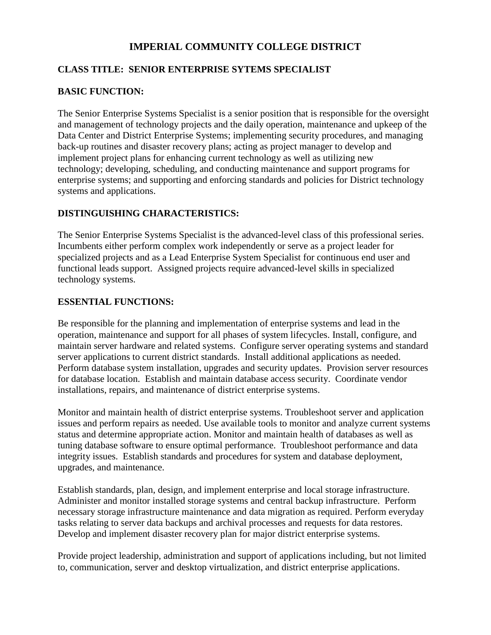# **IMPERIAL COMMUNITY COLLEGE DISTRICT**

## **CLASS TITLE: SENIOR ENTERPRISE SYTEMS SPECIALIST**

## **BASIC FUNCTION:**

The Senior Enterprise Systems Specialist is a senior position that is responsible for the oversight and management of technology projects and the daily operation, maintenance and upkeep of the Data Center and District Enterprise Systems; implementing security procedures, and managing back-up routines and disaster recovery plans; acting as project manager to develop and implement project plans for enhancing current technology as well as utilizing new technology; developing, scheduling, and conducting maintenance and support programs for enterprise systems; and supporting and enforcing standards and policies for District technology systems and applications.

### **DISTINGUISHING CHARACTERISTICS:**

The Senior Enterprise Systems Specialist is the advanced-level class of this professional series. Incumbents either perform complex work independently or serve as a project leader for specialized projects and as a Lead Enterprise System Specialist for continuous end user and functional leads support. Assigned projects require advanced-level skills in specialized technology systems.

### **ESSENTIAL FUNCTIONS:**

Be responsible for the planning and implementation of enterprise systems and lead in the operation, maintenance and support for all phases of system lifecycles. Install, configure, and maintain server hardware and related systems. Configure server operating systems and standard server applications to current district standards. Install additional applications as needed. Perform database system installation, upgrades and security updates. Provision server resources for database location. Establish and maintain database access security. Coordinate vendor installations, repairs, and maintenance of district enterprise systems.

Monitor and maintain health of district enterprise systems. Troubleshoot server and application issues and perform repairs as needed. Use available tools to monitor and analyze current systems status and determine appropriate action. Monitor and maintain health of databases as well as tuning database software to ensure optimal performance. Troubleshoot performance and data integrity issues. Establish standards and procedures for system and database deployment, upgrades, and maintenance.

Establish standards, plan, design, and implement enterprise and local storage infrastructure. Administer and monitor installed storage systems and central backup infrastructure. Perform necessary storage infrastructure maintenance and data migration as required. Perform everyday tasks relating to server data backups and archival processes and requests for data restores. Develop and implement disaster recovery plan for major district enterprise systems.

Provide project leadership, administration and support of applications including, but not limited to, communication, server and desktop virtualization, and district enterprise applications.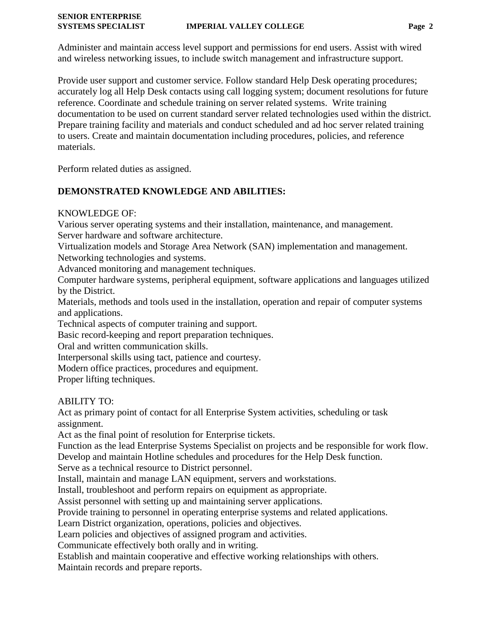# **SENIOR ENTERPRISE**

Administer and maintain access level support and permissions for end users. Assist with wired and wireless networking issues, to include switch management and infrastructure support.

Provide user support and customer service. Follow standard Help Desk operating procedures; accurately log all Help Desk contacts using call logging system; document resolutions for future reference. Coordinate and schedule training on server related systems. Write training documentation to be used on current standard server related technologies used within the district. Prepare training facility and materials and conduct scheduled and ad hoc server related training to users. Create and maintain documentation including procedures, policies, and reference materials.

Perform related duties as assigned.

# **DEMONSTRATED KNOWLEDGE AND ABILITIES:**

## KNOWLEDGE OF:

Various server operating systems and their installation, maintenance, and management. Server hardware and software architecture.

Virtualization models and Storage Area Network (SAN) implementation and management.

Networking technologies and systems.

Advanced monitoring and management techniques.

Computer hardware systems, peripheral equipment, software applications and languages utilized by the District.

Materials, methods and tools used in the installation, operation and repair of computer systems and applications.

Technical aspects of computer training and support.

Basic record-keeping and report preparation techniques.

Oral and written communication skills.

Interpersonal skills using tact, patience and courtesy.

Modern office practices, procedures and equipment.

Proper lifting techniques.

# ABILITY TO:

Act as primary point of contact for all Enterprise System activities, scheduling or task assignment.

Act as the final point of resolution for Enterprise tickets.

Function as the lead Enterprise Systems Specialist on projects and be responsible for work flow.

Develop and maintain Hotline schedules and procedures for the Help Desk function.

Serve as a technical resource to District personnel.

Install, maintain and manage LAN equipment, servers and workstations.

Install, troubleshoot and perform repairs on equipment as appropriate.

Assist personnel with setting up and maintaining server applications.

Provide training to personnel in operating enterprise systems and related applications.

Learn District organization, operations, policies and objectives.

Learn policies and objectives of assigned program and activities.

Communicate effectively both orally and in writing.

Establish and maintain cooperative and effective working relationships with others.

Maintain records and prepare reports.